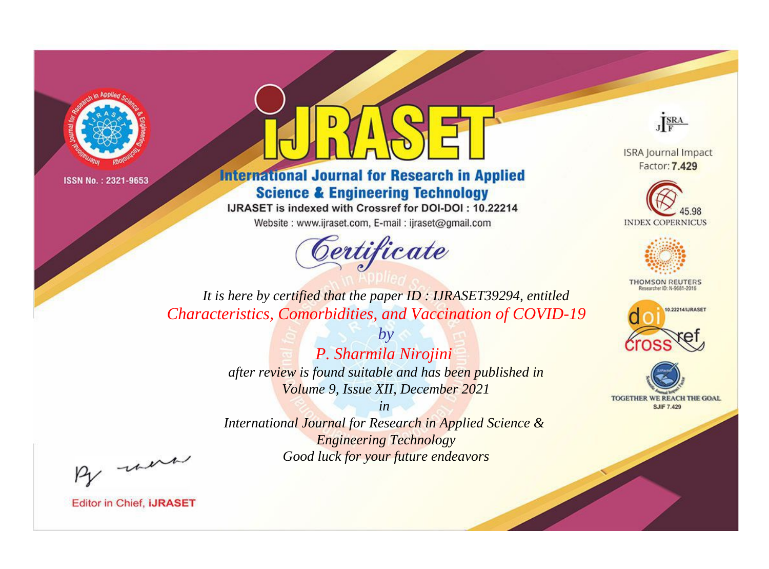



**International Journal for Research in Applied Science & Engineering Technology** 

IJRASET is indexed with Crossref for DOI-DOI: 10.22214

Website: www.ijraset.com, E-mail: ijraset@gmail.com



JERA

**ISRA Journal Impact** Factor: 7.429





**THOMSON REUTERS** 



TOGETHER WE REACH THE GOAL **SJIF 7.429** 

It is here by certified that the paper ID: IJRASET39294, entitled Characteristics, Comorbidities, and Vaccination of COVID-19

> $by$ P. Sharmila Nirojini after review is found suitable and has been published in Volume 9, Issue XII, December 2021

 $in$ International Journal for Research in Applied Science & **Engineering Technology** Good luck for your future endeavors

By morn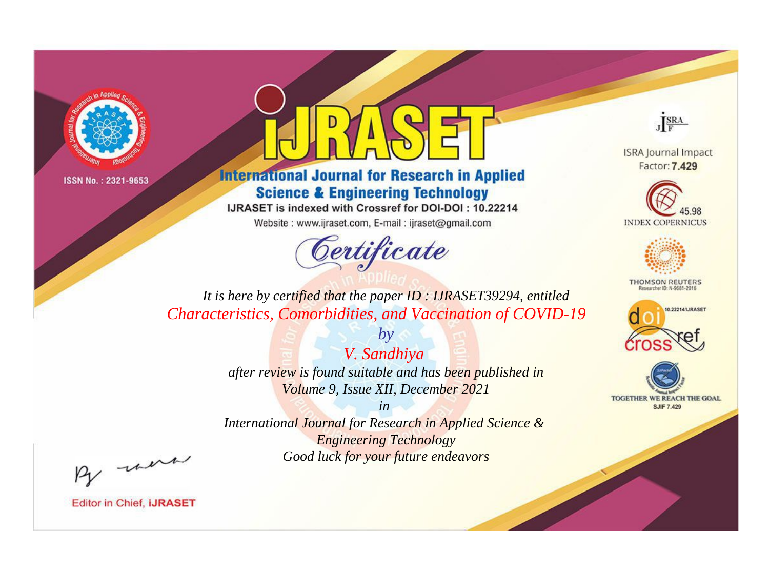



**International Journal for Research in Applied Science & Engineering Technology** 

IJRASET is indexed with Crossref for DOI-DOI: 10.22214

Website: www.ijraset.com, E-mail: ijraset@gmail.com



JERA

**ISRA Journal Impact** Factor: 7.429





**THOMSON REUTERS** 



TOGETHER WE REACH THE GOAL **SJIF 7.429** 

It is here by certified that the paper ID: IJRASET39294, entitled Characteristics, Comorbidities, and Vaccination of COVID-19

> V. Sandhiya after review is found suitable and has been published in Volume 9, Issue XII, December 2021

 $by$ 

 $in$ International Journal for Research in Applied Science & **Engineering Technology** Good luck for your future endeavors

By morn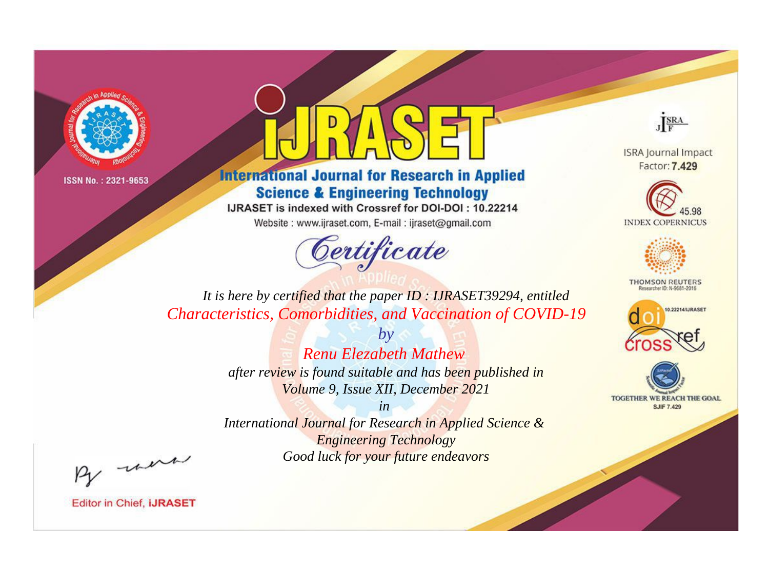

## **International Journal for Research in Applied Science & Engineering Technology**

IJRASET is indexed with Crossref for DOI-DOI: 10.22214

Website: www.ijraset.com, E-mail: ijraset@gmail.com

# Certificate



**ISRA Journal Impact** Factor: 7.429





**THOMSON REUTERS** 



TOGETHER WE REACH THE GOAL **SJIF 7.429** 

It is here by certified that the paper ID: IJRASET39294, entitled Characteristics, Comorbidities, and Vaccination of COVID-19

> **Renu Elezabeth Mathew** after review is found suitable and has been published in Volume 9, Issue XII, December 2021

 $b\nu$ 

 $in$ International Journal for Research in Applied Science & **Engineering Technology** Good luck for your future endeavors

By morn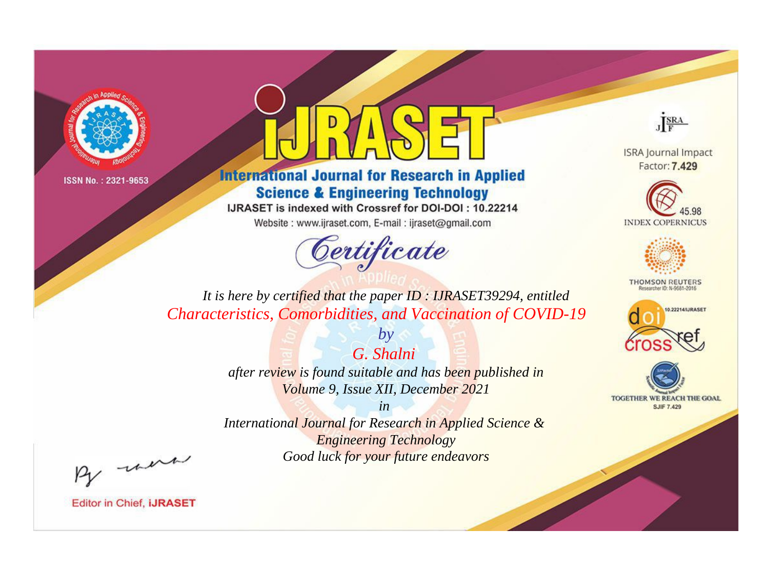

## **International Journal for Research in Applied Science & Engineering Technology**

IJRASET is indexed with Crossref for DOI-DOI: 10.22214

Website: www.ijraset.com, E-mail: ijraset@gmail.com



JERA

**ISRA Journal Impact** Factor: 7.429





**THOMSON REUTERS** 



TOGETHER WE REACH THE GOAL **SJIF 7.429** 

*It is here by certified that the paper ID : IJRASET39294, entitled Characteristics, Comorbidities, and Vaccination of COVID-19*

> *G. Shalni after review is found suitable and has been published in Volume 9, Issue XII, December 2021*

*by*

*in International Journal for Research in Applied Science &* 

*Engineering Technology Good luck for your future endeavors*

By morn